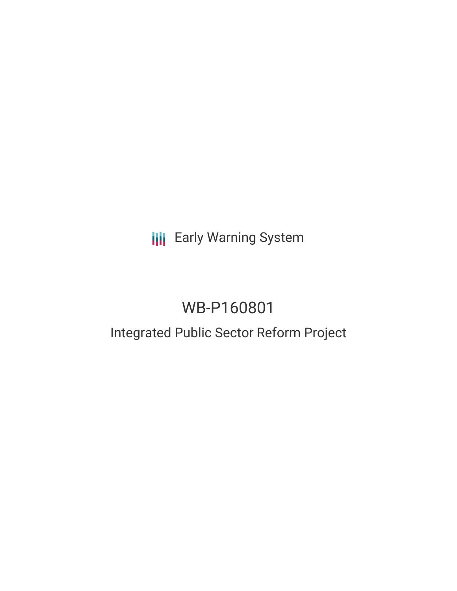# **III** Early Warning System

# WB-P160801

### Integrated Public Sector Reform Project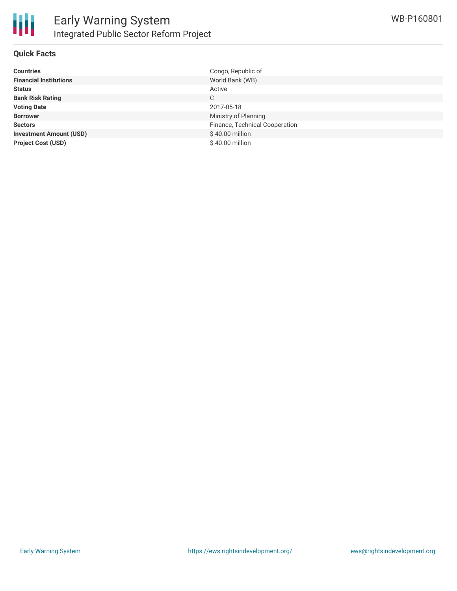

#### **Quick Facts**

| <b>Countries</b>               | Congo, Republic of             |
|--------------------------------|--------------------------------|
| <b>Financial Institutions</b>  | World Bank (WB)                |
| <b>Status</b>                  | Active                         |
| <b>Bank Risk Rating</b>        | C                              |
| <b>Voting Date</b>             | 2017-05-18                     |
| <b>Borrower</b>                | Ministry of Planning           |
| <b>Sectors</b>                 | Finance, Technical Cooperation |
| <b>Investment Amount (USD)</b> | $$40.00$ million               |
| <b>Project Cost (USD)</b>      | $$40.00$ million               |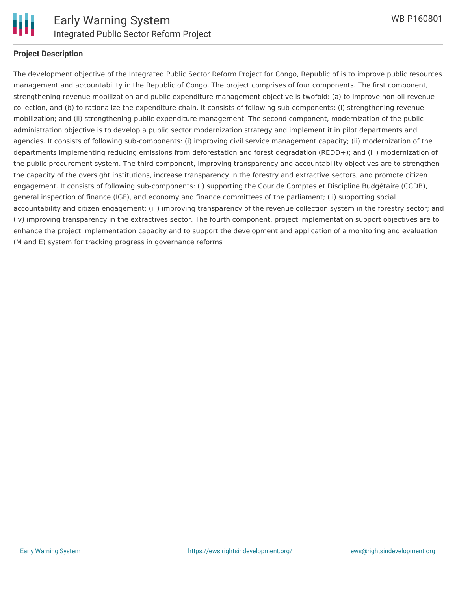

#### **Project Description**

The development objective of the Integrated Public Sector Reform Project for Congo, Republic of is to improve public resources management and accountability in the Republic of Congo. The project comprises of four components. The first component, strengthening revenue mobilization and public expenditure management objective is twofold: (a) to improve non-oil revenue collection, and (b) to rationalize the expenditure chain. It consists of following sub-components: (i) strengthening revenue mobilization; and (ii) strengthening public expenditure management. The second component, modernization of the public administration objective is to develop a public sector modernization strategy and implement it in pilot departments and agencies. It consists of following sub-components: (i) improving civil service management capacity; (ii) modernization of the departments implementing reducing emissions from deforestation and forest degradation (REDD+); and (iii) modernization of the public procurement system. The third component, improving transparency and accountability objectives are to strengthen the capacity of the oversight institutions, increase transparency in the forestry and extractive sectors, and promote citizen engagement. It consists of following sub-components: (i) supporting the Cour de Comptes et Discipline Budgétaire (CCDB), general inspection of finance (IGF), and economy and finance committees of the parliament; (ii) supporting social accountability and citizen engagement; (iii) improving transparency of the revenue collection system in the forestry sector; and (iv) improving transparency in the extractives sector. The fourth component, project implementation support objectives are to enhance the project implementation capacity and to support the development and application of a monitoring and evaluation (M and E) system for tracking progress in governance reforms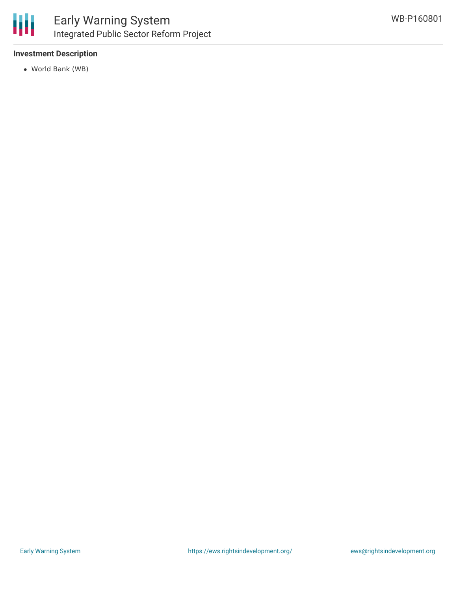

#### **Investment Description**

World Bank (WB)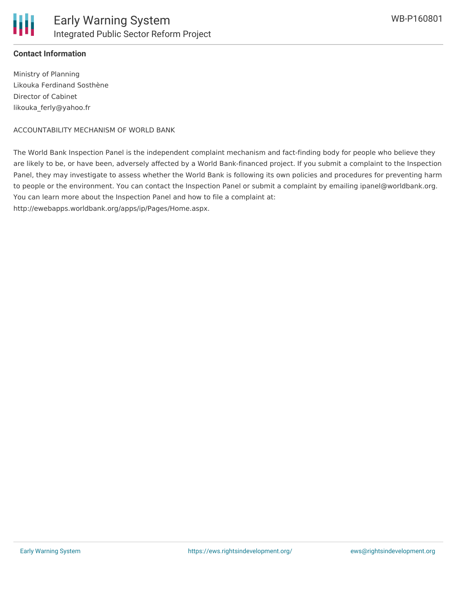

#### **Contact Information**

Ministry of Planning Likouka Ferdinand Sosthène Director of Cabinet likouka\_ferly@yahoo.fr

ACCOUNTABILITY MECHANISM OF WORLD BANK

The World Bank Inspection Panel is the independent complaint mechanism and fact-finding body for people who believe they are likely to be, or have been, adversely affected by a World Bank-financed project. If you submit a complaint to the Inspection Panel, they may investigate to assess whether the World Bank is following its own policies and procedures for preventing harm to people or the environment. You can contact the Inspection Panel or submit a complaint by emailing ipanel@worldbank.org. You can learn more about the Inspection Panel and how to file a complaint at:

http://ewebapps.worldbank.org/apps/ip/Pages/Home.aspx.